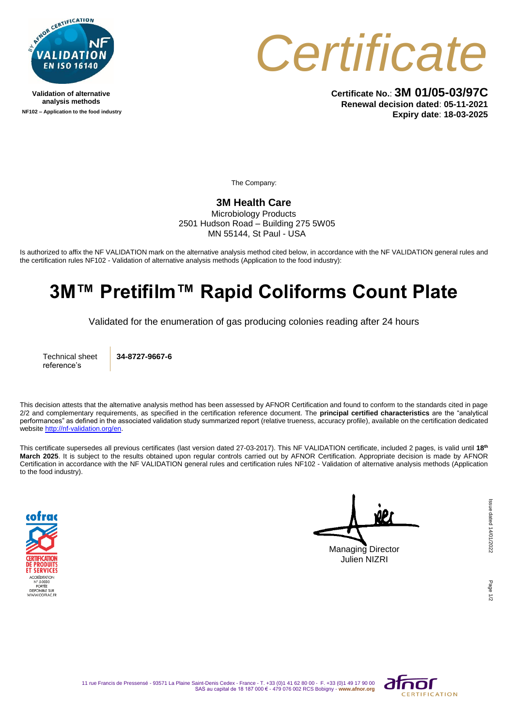

**Validation of alternative analysis methods NF102 – Application to the food industry**



**Certificate No.**: **3M 01/05-03/97C Renewal decision dated**: **05-11-2021 Expiry date**: **18-03-2025**

The Company:

## **3M Health Care**

Microbiology Products 2501 Hudson Road – Building 275 5W05 MN 55144, St Paul - USA

Is authorized to affix the NF VALIDATION mark on the alternative analysis method cited below, in accordance with the NF VALIDATION general rules and the certification rules NF102 - Validation of alternative analysis methods (Application to the food industry):

## **3M™ Pretifilm™ Rapid Coliforms Count Plate**

Validated for the enumeration of gas producing colonies reading after 24 hours

Technical sheet reference's

**34-8727-9667-6**

This decision attests that the alternative analysis method has been assessed by AFNOR Certification and found to conform to the standards cited in page 2/2 and complementary requirements, as specified in the certification reference document. The **principal certified characteristics** are the "analytical performances" as defined in the associated validation study summarized report (relative trueness, accuracy profile), available on the certification dedicated websit[e http://nf-validation.org/en.](http://nf-validation.org/en)

This certificate supersedes all previous certificates (last version dated 27-03-2017). This NF VALIDATION certificate, included 2 pages, is valid until **18th March 2025**. It is subject to the results obtained upon regular controls carried out by AFNOR Certification. Appropriate decision is made by AFNOR Certification in accordance with the NF VALIDATION general rules and certification rules NF102 - Validation of alternative analysis methods (Application to the food industry).



Managing Director Julien NIZRI

Page